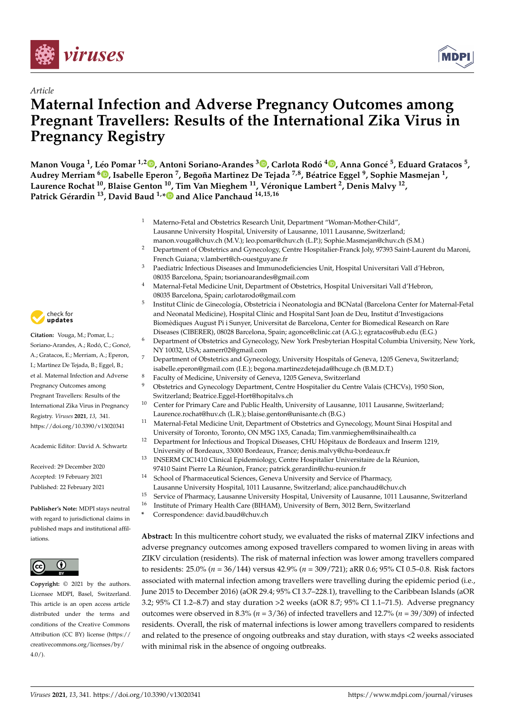

*Article*



# **Maternal Infection and Adverse Pregnancy Outcomes among Pregnant Travellers: Results of the International Zika Virus in Pregnancy Registry**

Manon Vouga <sup>1</sup>[,](https://orcid.org/0000-0001-8801-5677) Léo Pomar <sup>1,2</sup>®, Antoni Soriano-Arandes <sup>3</sup>®, Carlota Rodó <sup>4</sup>®, Anna Goncé <sup>5</sup>, Eduard Gratacos <sup>5</sup>, **Audrey Merriam <sup>6</sup> [,](https://orcid.org/0000-0003-2509-3517) Isabelle Eperon <sup>7</sup> , Begoña Martinez De Tejada 7,8, Béatrice Eggel <sup>9</sup> , Sophie Masmejan <sup>1</sup> , Laurence Rochat <sup>10</sup>, Blaise Genton <sup>10</sup>, Tim Van Mieghem <sup>11</sup>, Véronique Lambert <sup>2</sup> , Denis Malvy <sup>12</sup> , Patrick Gérardin <sup>13</sup>, David Baud 1,[\\*](https://orcid.org/0000-0001-9914-6496) and Alice Panchaud 14,15,16**

- <sup>1</sup> Materno-Fetal and Obstetrics Research Unit, Department "Woman-Mother-Child", Lausanne University Hospital, University of Lausanne, 1011 Lausanne, Switzerland;
- manon.vouga@chuv.ch (M.V.); leo.pomar@chuv.ch (L.P.); Sophie.Masmejan@chuv.ch (S.M.) <sup>2</sup> Department of Obstetrics and Gynecology, Centre Hospitalier-Franck Joly, 97393 Saint-Laurent du Maroni, French Guiana; v.lambert@ch-ouestguyane.fr
- <sup>3</sup> Paediatric Infectious Diseases and Immunodeficiencies Unit, Hospital Universitari Vall d'Hebron, 08035 Barcelona, Spain; tsorianoarandes@gmail.com
- <sup>4</sup> Maternal-Fetal Medicine Unit, Department of Obstetrics, Hospital Universitari Vall d'Hebron, 08035 Barcelona, Spain; carlotarodo@gmail.com
- 5 Institut Clínic de Ginecología, Obstetricia i Neonatologia and BCNatal (Barcelona Center for Maternal-Fetal and Neonatal Medicine), Hospital Clínic and Hospital Sant Joan de Deu, Institut d'Investigacions Biomèdiques August Pi i Sunyer, Universitat de Barcelona, Center for Biomedical Research on Rare Diseases (CIBERER), 08028 Barcelona, Spain; agonce@clinic.cat (A.G.); egratacos@ub.edu (E.G.)
- <sup>6</sup> Department of Obstetrics and Gynecology, New York Presbyterian Hospital Columbia University, New York, NY 10032, USA; aamerr02@gmail.com
- <sup>7</sup> Department of Obstetrics and Gynecology, University Hospitals of Geneva, 1205 Geneva, Switzerland; isabelle.eperon@gmail.com (I.E.); begona.martinezdetejada@hcuge.ch (B.M.D.T.)
- <sup>8</sup> Faculty of Medicine, University of Geneva, 1205 Geneva, Switzerland<br><sup>9</sup> Chatatrics and Companion Department Centre Hamilti in du Centre
	- <sup>9</sup> Obstetrics and Gynecology Department, Centre Hospitalier du Centre Valais (CHCVs), 1950 Sion, Switzerland; Beatrice.Eggel-Hort@hopitalvs.ch
- <sup>10</sup> Center for Primary Care and Public Health, University of Lausanne, 1011 Lausanne, Switzerland; Laurence.rochat@huv.ch (L.R.); blaise.genton@unisante.ch (B.G.)
- <sup>11</sup> Maternal-Fetal Medicine Unit, Department of Obstetrics and Gynecology, Mount Sinai Hospital and University of Toronto, Toronto, ON M5G 1X5, Canada; Tim.vanmieghem@sinaihealth.ca
- <sup>12</sup> Department for Infectious and Tropical Diseases, CHU Hôpitaux de Bordeaux and Inserm 1219, University of Bordeaux, 33000 Bordeaux, France; denis.malvy@chu-bordeaux.fr
- <sup>13</sup> INSERM CIC1410 Clinical Epidemiology, Centre Hospitalier Universitaire de la Réunion, 97410 Saint Pierre La Réunion, France; patrick.gerardin@chu-reunion.fr
- <sup>14</sup> School of Pharmaceutical Sciences, Geneva University and Service of Pharmacy, Lausanne University Hospital, 1011 Lausanne, Switzerland; alice.panchaud@chuv.ch
- <sup>15</sup> Service of Pharmacy, Lausanne University Hospital, University of Lausanne, 1011 Lausanne, Switzerland
- <sup>16</sup> Institute of Primary Health Care (BIHAM), University of Bern, 3012 Bern, Switzerland
- **\*** Correspondence: david.baud@chuv.ch

**Abstract:** In this multicentre cohort study, we evaluated the risks of maternal ZIKV infections and adverse pregnancy outcomes among exposed travellers compared to women living in areas with ZIKV circulation (residents). The risk of maternal infection was lower among travellers compared to residents: 25.0% (*n* = 36/144) versus 42.9% (*n* = 309/721); aRR 0.6; 95% CI 0.5–0.8. Risk factors associated with maternal infection among travellers were travelling during the epidemic period (i.e., June 2015 to December 2016) (aOR 29.4; 95% CI 3.7–228.1), travelling to the Caribbean Islands (aOR 3.2; 95% CI 1.2–8.7) and stay duration >2 weeks (aOR 8.7; 95% CI 1.1–71.5). Adverse pregnancy outcomes were observed in 8.3% (*n* = 3/36) of infected travellers and 12.7% (*n* = 39/309) of infected residents. Overall, the risk of maternal infections is lower among travellers compared to residents and related to the presence of ongoing outbreaks and stay duration, with stays <2 weeks associated with minimal risk in the absence of ongoing outbreaks.



**Citation:** Vouga, M.; Pomar, L.; Soriano-Arandes, A.; Rodó, C.; Goncé, A.; Gratacos, E.; Merriam, A.; Eperon, I.; Martinez De Tejada, B.; Eggel, B.; et al. Maternal Infection and Adverse Pregnancy Outcomes among Pregnant Travellers: Results of the International Zika Virus in Pregnancy Registry. *Viruses* **2021**, *13*, 341. <https://doi.org/10.3390/v13020341>

Academic Editor: David A. Schwartz

Received: 29 December 2020 Accepted: 19 February 2021 Published: 22 February 2021

**Publisher's Note:** MDPI stays neutral with regard to jurisdictional claims in published maps and institutional affiliations.



**Copyright:** © 2021 by the authors. Licensee MDPI, Basel, Switzerland. This article is an open access article distributed under the terms and conditions of the Creative Commons Attribution (CC BY) license (https:/[/](https://creativecommons.org/licenses/by/4.0/) [creativecommons.org/licenses/by/](https://creativecommons.org/licenses/by/4.0/)  $4.0/$ ).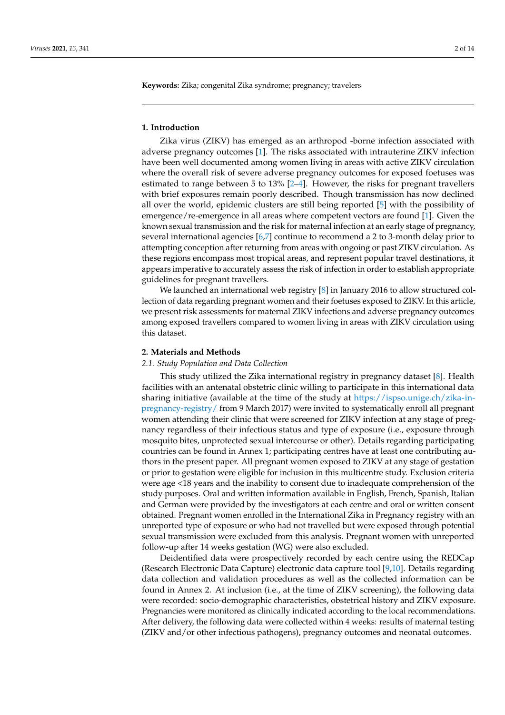**Keywords:** Zika; congenital Zika syndrome; pregnancy; travelers

#### **1. Introduction**

Zika virus (ZIKV) has emerged as an arthropod -borne infection associated with adverse pregnancy outcomes [\[1\]](#page-12-0). The risks associated with intrauterine ZIKV infection have been well documented among women living in areas with active ZIKV circulation where the overall risk of severe adverse pregnancy outcomes for exposed foetuses was estimated to range between 5 to 13% [\[2–](#page-12-1)[4\]](#page-12-2). However, the risks for pregnant travellers with brief exposures remain poorly described. Though transmission has now declined all over the world, epidemic clusters are still being reported [\[5\]](#page-12-3) with the possibility of emergence/re-emergence in all areas where competent vectors are found [\[1\]](#page-12-0). Given the known sexual transmission and the risk for maternal infection at an early stage of pregnancy, several international agencies [\[6,](#page-12-4)[7\]](#page-12-5) continue to recommend a 2 to 3-month delay prior to attempting conception after returning from areas with ongoing or past ZIKV circulation. As these regions encompass most tropical areas, and represent popular travel destinations, it appears imperative to accurately assess the risk of infection in order to establish appropriate guidelines for pregnant travellers.

We launched an international web registry [\[8\]](#page-12-6) in January 2016 to allow structured collection of data regarding pregnant women and their foetuses exposed to ZIKV. In this article, we present risk assessments for maternal ZIKV infections and adverse pregnancy outcomes among exposed travellers compared to women living in areas with ZIKV circulation using this dataset.

# **2. Materials and Methods**

#### *2.1. Study Population and Data Collection*

This study utilized the Zika international registry in pregnancy dataset [\[8\]](#page-12-6). Health facilities with an antenatal obstetric clinic willing to participate in this international data sharing initiative (available at the time of the study at [https://ispso.unige.ch/zika-in](https://ispso.unige.ch/zika-in-pregnancy-registry/)[pregnancy-registry/](https://ispso.unige.ch/zika-in-pregnancy-registry/) from 9 March 2017) were invited to systematically enroll all pregnant women attending their clinic that were screened for ZIKV infection at any stage of pregnancy regardless of their infectious status and type of exposure (i.e., exposure through mosquito bites, unprotected sexual intercourse or other). Details regarding participating countries can be found in Annex 1; participating centres have at least one contributing authors in the present paper. All pregnant women exposed to ZIKV at any stage of gestation or prior to gestation were eligible for inclusion in this multicentre study. Exclusion criteria were age <18 years and the inability to consent due to inadequate comprehension of the study purposes. Oral and written information available in English, French, Spanish, Italian and German were provided by the investigators at each centre and oral or written consent obtained. Pregnant women enrolled in the International Zika in Pregnancy registry with an unreported type of exposure or who had not travelled but were exposed through potential sexual transmission were excluded from this analysis. Pregnant women with unreported follow-up after 14 weeks gestation (WG) were also excluded.

Deidentified data were prospectively recorded by each centre using the REDCap (Research Electronic Data Capture) electronic data capture tool [\[9,](#page-12-7)[10\]](#page-12-8). Details regarding data collection and validation procedures as well as the collected information can be found in Annex 2. At inclusion (i.e., at the time of ZIKV screening), the following data were recorded: socio-demographic characteristics, obstetrical history and ZIKV exposure. Pregnancies were monitored as clinically indicated according to the local recommendations. After delivery, the following data were collected within 4 weeks: results of maternal testing (ZIKV and/or other infectious pathogens), pregnancy outcomes and neonatal outcomes.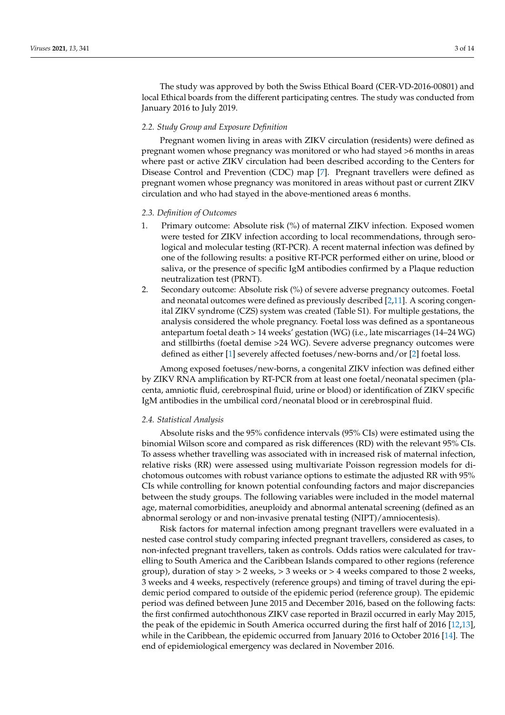The study was approved by both the Swiss Ethical Board (CER-VD-2016-00801) and local Ethical boards from the different participating centres. The study was conducted from January 2016 to July 2019.

## *2.2. Study Group and Exposure Definition*

Pregnant women living in areas with ZIKV circulation (residents) were defined as pregnant women whose pregnancy was monitored or who had stayed >6 months in areas where past or active ZIKV circulation had been described according to the Centers for Disease Control and Prevention (CDC) map [\[7\]](#page-12-5). Pregnant travellers were defined as pregnant women whose pregnancy was monitored in areas without past or current ZIKV circulation and who had stayed in the above-mentioned areas 6 months.

#### *2.3. Definition of Outcomes*

- 1. Primary outcome: Absolute risk (%) of maternal ZIKV infection. Exposed women were tested for ZIKV infection according to local recommendations, through serological and molecular testing (RT-PCR). A recent maternal infection was defined by one of the following results: a positive RT-PCR performed either on urine, blood or saliva, or the presence of specific IgM antibodies confirmed by a Plaque reduction neutralization test (PRNT).
- 2. Secondary outcome: Absolute risk (%) of severe adverse pregnancy outcomes. Foetal and neonatal outcomes were defined as previously described [\[2](#page-12-1)[,11\]](#page-12-9). A scoring congenital ZIKV syndrome (CZS) system was created (Table S1). For multiple gestations, the analysis considered the whole pregnancy. Foetal loss was defined as a spontaneous antepartum foetal death > 14 weeks' gestation (WG) (i.e., late miscarriages (14–24 WG) and stillbirths (foetal demise >24 WG). Severe adverse pregnancy outcomes were defined as either [\[1\]](#page-12-0) severely affected foetuses/new-borns and/or [\[2\]](#page-12-1) foetal loss.

Among exposed foetuses/new-borns, a congenital ZIKV infection was defined either by ZIKV RNA amplification by RT-PCR from at least one foetal/neonatal specimen (placenta, amniotic fluid, cerebrospinal fluid, urine or blood) or identification of ZIKV specific IgM antibodies in the umbilical cord/neonatal blood or in cerebrospinal fluid.

## *2.4. Statistical Analysis*

Absolute risks and the 95% confidence intervals (95% CIs) were estimated using the binomial Wilson score and compared as risk differences (RD) with the relevant 95% CIs. To assess whether travelling was associated with in increased risk of maternal infection, relative risks (RR) were assessed using multivariate Poisson regression models for dichotomous outcomes with robust variance options to estimate the adjusted RR with 95% CIs while controlling for known potential confounding factors and major discrepancies between the study groups. The following variables were included in the model maternal age, maternal comorbidities, aneuploidy and abnormal antenatal screening (defined as an abnormal serology or and non-invasive prenatal testing (NIPT)/amniocentesis).

Risk factors for maternal infection among pregnant travellers were evaluated in a nested case control study comparing infected pregnant travellers, considered as cases, to non-infected pregnant travellers, taken as controls. Odds ratios were calculated for travelling to South America and the Caribbean Islands compared to other regions (reference group), duration of stay  $>$  2 weeks,  $>$  3 weeks or  $>$  4 weeks compared to those 2 weeks, 3 weeks and 4 weeks, respectively (reference groups) and timing of travel during the epidemic period compared to outside of the epidemic period (reference group). The epidemic period was defined between June 2015 and December 2016, based on the following facts: the first confirmed autochthonous ZIKV case reported in Brazil occurred in early May 2015, the peak of the epidemic in South America occurred during the first half of 2016 [\[12,](#page-12-10)[13\]](#page-12-11), while in the Caribbean, the epidemic occurred from January 2016 to October 2016 [\[14\]](#page-12-12). The end of epidemiological emergency was declared in November 2016.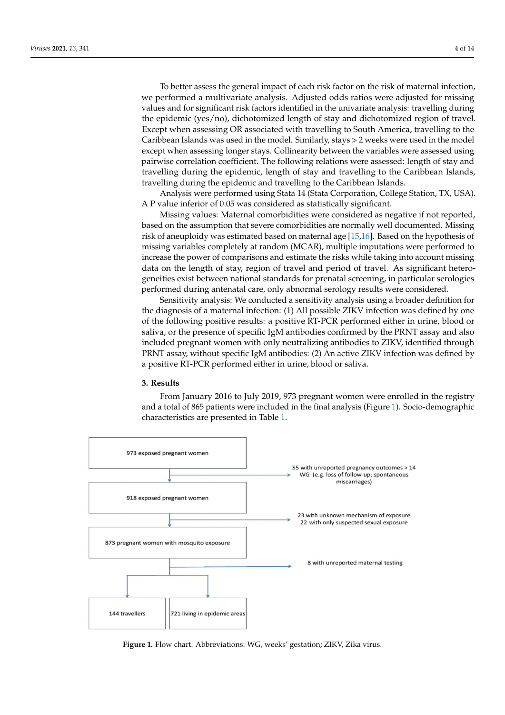To better assess the general impact of each risk factor on the risk of maternal infection, we performed a multivariate analysis. Adjusted odds ratios were adjusted for missing values and for significant risk factors identified in the univariate analysis: travelling during the epidemic (yes/no), dichotomized length of stay and dichotomized region of travel. Except when assessing OR associated with travelling to South America, travelling to the Caribbean Islands was used in the model. Similarly, stays > 2 weeks were used in the model except when assessing longer stays. Collinearity between the variables were assessed using pairwise correlation coefficient. The following relations were assessed: length of stay and travelling during the epidemic, length of stay and travelling to the Caribbean Islands, travelling during the epidemic and travelling to the Caribbean Islands.

Analysis were performed using Stata 14 (Stata Corporation, College Station, TX, USA). A P value inferior of 0.05 was considered as statistically significant.

Missing values: Maternal comorbidities were considered as negative if not reported, based on the assumption that severe comorbidities are normally well documented. Missing risk of aneuploidy was estimated based on maternal age [\[15,](#page-12-13)[16\]](#page-12-14). Based on the hypothesis of missing variables completely at random (MCAR), multiple imputations were performed to increase the power of comparisons and estimate the risks while taking into account missing data on the length of stay, region of travel and period of travel. As significant heterogeneities exist between national standards for prenatal screening, in particular serologies performed during antenatal care, only abnormal serology results were considered.

Sensitivity analysis: We conducted a sensitivity analysis using a broader definition for the diagnosis of a maternal infection: (1) All possible ZIKV infection was defined by one of the following positive results: a positive RT-PCR performed either in urine, blood or saliva, or the presence of specific IgM antibodies confirmed by the PRNT assay and also included pregnant women with only neutralizing antibodies to ZIKV, identified through PRNT assay, without specific IgM antibodies: (2) An active ZIKV infection was defined by a positive RT-PCR performed either in urine, blood or saliva.

#### **3. Results**

From January 2016 to July 2019, 973 pregnant women were enrolled in the registry and a total of 865 patients were included in the final analysis (Figure [1\)](#page-3-0). Socio-demographic characteristics are presented in Table [1.](#page-5-0)

<span id="page-3-0"></span>

**Figure 1.** Flow chart. Abbreviations: WG, weeks' gestation; ZIKV, Zika virus.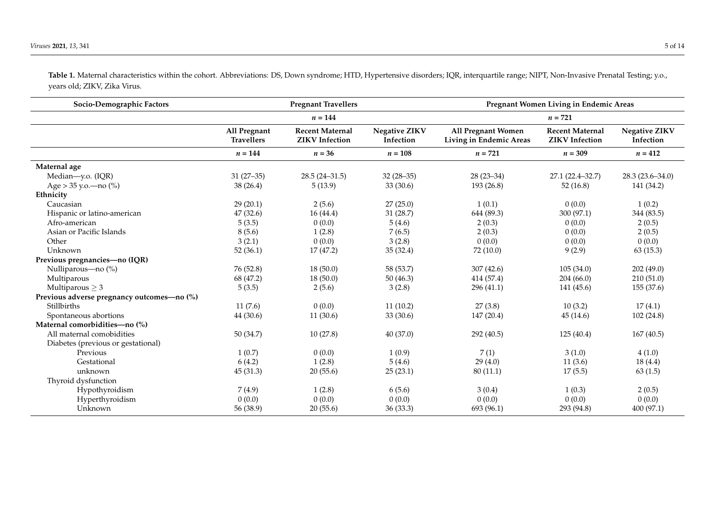**Socio-Demographic Factors Pregnant Travellers Pregnant Women Living in Endemic Areas** *n* **= 144** *n* **= 721 All Pregnant Travellers Recent Maternal ZIKV Infection Negative ZIKV Infection All Pregnant Women Living in Endemic Areas Recent Maternal ZIKV Infection Negative ZIKV Infection** *n* **= 144** *n* **= 36** *n* **= 108** *n* **= 721** *n* **= 309** *n* **= 412 Maternal age**<br>Median—v.o. (IOR) Median—y.o. (IQR) 31 (27–35) 28.5 (24–31.5) 32 (28–35) 28 (23–34) 27.1 (22.4–32.7) 28.3 (23.6–34.0) Age > 35 y.o.—no (%) 38 (26.4) 5 (13.9) 33 (30.6) 193 (26.8) 52 (16.8) 141 (34.2) **Ethnicity** Caucasian 29 (20.1) 2 (5.6) 27 (25.0) 1 (0.1) 0 (0.0) 1 (0.2) Hispanic or latino-american  $47 (32.6)$   $16 (44.4)$   $31 (28.7)$   $644 (89.3)$   $300 (97.1)$   $344 (83.5)$ <br>Afro-american  $5 (3.5)$   $0 (0.0)$   $5 (4.6)$   $2 (0.3)$   $0 (0.0)$   $2 (0.5)$ Afro-american 5 (3.5) 0 (0.0) 5 (4.6) 2 (0.3) 0 (0.0) 2 (0.5) Asian or Pacific Islands 2 (0.5) 2 (0.5) 3 (5.6) 2 (0.5) 2 (0.3) 3 (0.0) 2 (0.5) 2 (0.5) 4 (0.5) 2 (0.5) 4 (0.5 Other 6 2 2.1 3 (2.1) 0 (0.0) 3 (2.8) 0 (0.0) 0 (0.0) 0 (0.0) 0 (0.0) Unknown 52 (36.1) 17 (47.2) 35 (32.4) 72 (10.0) 9 (2.9) 63 (15.3) **Previous pregnancies—no (IQR)**<br>Nulliparous—no (%) Nulliparous—no (%) 76 (52.8) 18 (50.0) 58 (53.7) 307 (42.6) 202 (49.0) Multiparous 68 (47.2) 18 (50.0) 50 (46.3) 414 (57.4) 204 (66.0) 210 (51.0) Multiparous  $\ge 3$  5 (3.5)  $\, = \, 5 \, (3.5)$   $\, = \, 2 \, (5.6)$   $\, = \, 3 \, (2.8)$   $\, = \, 296 \, (41.1)$   $\, = \, 141 \, (45.6)$   $\, = \, 155 \, (37.6)$ **Previous adverse pregnancy outcomes—no (%)** Stillbirths 11 (7.6) 11 (7.6) 0 (0.0) 11 (10.2) 27 (3.8) 10 (3.2) 17 (4.1) Spontaneous abortions 44 (30.6) 11 (30.6) 33 (30.6) 147 (20.4) 45 (14.6) 102 (24.8) **Maternal comorbidities—no (%)** All maternal comobidities 60 (34.7) 10 (27.8) 40 (37.0) 292 (40.5) 125 (40.4) 167 (40.5) Diabetes (previous or gestational) Previous 1 (0.7) 0 (0.0) 1 (0.9) 7 (1) 3 (1.0) 4 (1.0) Gestational 6 (4.2) 1 (2.8) 5 (4.6) 29 (4.0) 11 (3.6) 18 (4.4) unknown 45 (31.3) 20 (55.6) 25 (23.1) 80 (11.1) 17 (5.5) 63 (1.5) Thyroid dysfunction Hypothyroidism 7 (4.9) 1 (2.8) 6 (5.6) 3 (0.4) 1 (0.3) 2 (0.5) Hyperthyroidism 0 (0.0) 0 (0.0) 0 (0.0) 0 (0.0) 0 (0.0) 0 (0.0) Unknown 56 (38.9) 20 (55.6) 36 (33.3) 693 (96.1) 293 (94.8) 400 (97.1)

**Table 1.** Maternal characteristics within the cohort. Abbreviations: DS, Down syndrome; HTD, Hypertensive disorders; IQR, interquartile range; NIPT, Non-Invasive Prenatal Testing; y.o., years old; ZIKV, Zika Virus.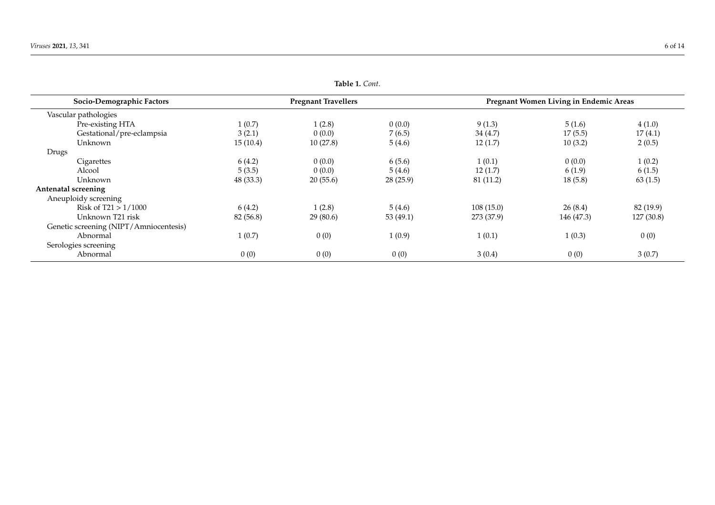<span id="page-5-0"></span>

| rapie <i>r</i> . Com.                  |                            |          |           |                                        |            |            |
|----------------------------------------|----------------------------|----------|-----------|----------------------------------------|------------|------------|
| Socio-Demographic Factors              | <b>Pregnant Travellers</b> |          |           | Pregnant Women Living in Endemic Areas |            |            |
| Vascular pathologies                   |                            |          |           |                                        |            |            |
| Pre-existing HTA                       | 1(0.7)                     | 1(2.8)   | 0(0.0)    | 9(1.3)                                 | 5(1.6)     | 4(1.0)     |
| Gestational/pre-eclampsia              | 3(2.1)                     | 0(0.0)   | 7(6.5)    | 34(4.7)                                | 17(5.5)    | 17(4.1)    |
| Unknown                                | 15(10.4)                   | 10(27.8) | 5(4.6)    | 12(1.7)                                | 10(3.2)    | 2(0.5)     |
| Drugs                                  |                            |          |           |                                        |            |            |
| Cigarettes                             | 6(4.2)                     | 0(0.0)   | 6(5.6)    | 1(0.1)                                 | 0(0.0)     | 1(0.2)     |
| Alcool                                 | 5(3.5)                     | 0(0.0)   | 5(4.6)    | 12(1.7)                                | 6(1.9)     | 6(1.5)     |
| Unknown                                | 48 (33.3)                  | 20(55.6) | 28(25.9)  | 81 (11.2)                              | 18(5.8)    | 63(1.5)    |
| Antenatal screening                    |                            |          |           |                                        |            |            |
| Aneuploidy screening                   |                            |          |           |                                        |            |            |
| Risk of $T21 > 1/1000$                 | 6(4.2)                     | 1(2.8)   | 5(4.6)    | 108(15.0)                              | 26(8.4)    | 82 (19.9)  |
| Unknown T21 risk                       | 82 (56.8)                  | 29(80.6) | 53 (49.1) | 273 (37.9)                             | 146 (47.3) | 127 (30.8) |
| Genetic screening (NIPT/Amniocentesis) |                            |          |           |                                        |            |            |
| Abnormal                               | 1(0.7)                     | 0(0)     | 1(0.9)    | 1(0.1)                                 | 1(0.3)     | 0(0)       |
| Serologies screening                   |                            |          |           |                                        |            |            |
| Abnormal                               | 0(0)                       | 0(0)     | 0(0)      | 3(0.4)                                 | 0(0)       | 3(0.7)     |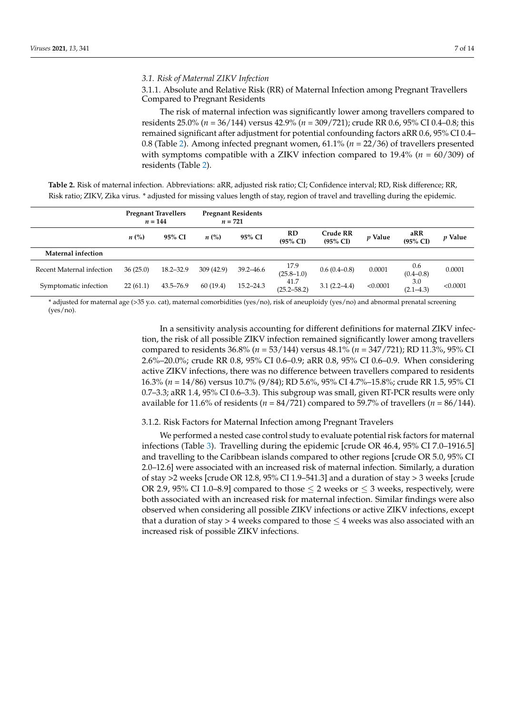#### *3.1. Risk of Maternal ZIKV Infection*

# 3.1.1. Absolute and Relative Risk (RR) of Maternal Infection among Pregnant Travellers Compared to Pregnant Residents

The risk of maternal infection was significantly lower among travellers compared to residents 25.0% (*n* = 36/144) versus 42.9% (*n* = 309/721); crude RR 0.6, 95% CI 0.4–0.8; this remained significant after adjustment for potential confounding factors aRR 0.6, 95% CI 0.4– 0.8 (Table [2\)](#page-6-0). Among infected pregnant women, 61.1% (*n* = 22/36) of travellers presented with symptoms compatible with a ZIKV infection compared to 19.4% (*n* = 60/309) of residents (Table [2\)](#page-6-0).

<span id="page-6-0"></span>

| Table 2. Risk of maternal infection. Abbreviations: aRR, adjusted risk ratio; CI; Confidence interval; RD, Risk difference; RR,  |  |  |
|----------------------------------------------------------------------------------------------------------------------------------|--|--|
| Risk ratio; ZIKV, Zika virus. * adjusted for missing values length of stay, region of travel and travelling during the epidemic. |  |  |

|                           |                    | <b>Pregnant Travellers</b><br>$n = 144$ |                    | <b>Pregnant Residents</b><br>$n = 721$ |                           |                                 |           |                            |                |
|---------------------------|--------------------|-----------------------------------------|--------------------|----------------------------------------|---------------------------|---------------------------------|-----------|----------------------------|----------------|
|                           | $n\left(\%\right)$ | 95% CI                                  | $n\left(\%\right)$ | 95% CI                                 | RD<br>$(95\% \text{ CI})$ | Crude RR<br>$(95\% \text{ CI})$ | $p$ Value | aRR<br>$(95\% \text{ CI})$ | <i>p</i> Value |
| Maternal infection        |                    |                                         |                    |                                        |                           |                                 |           |                            |                |
| Recent Maternal infection | 36(25.0)           | $18.2 - 32.9$                           | 309(42.9)          | $39.2 - 46.6$                          | 17.9<br>$(25.8 - 1.0)$    | $0.6(0.4-0.8)$                  | 0.0001    | 0.6<br>$(0.4 - 0.8)$       | 0.0001         |
| Symptomatic infection     | 22(61.1)           | $43.5 - 76.9$                           | 60(19.4)           | $15.2 - 24.3$                          | 41.7<br>$(25.2 - 58.2)$   | $3.1(2.2 - 4.4)$                | < 0.0001  | 3.0<br>$(2.1 - 4.3)$       | < 0.0001       |

\* adjusted for maternal age (>35 y.o. cat), maternal comorbidities (yes/no), risk of aneuploidy (yes/no) and abnormal prenatal screening (yes/no).

> In a sensitivity analysis accounting for different definitions for maternal ZIKV infection, the risk of all possible ZIKV infection remained significantly lower among travellers compared to residents 36.8% (*n* = 53/144) versus 48.1% (*n* = 347/721); RD 11.3%, 95% CI 2.6%–20.0%; crude RR 0.8, 95% CI 0.6–0.9; aRR 0.8, 95% CI 0.6–0.9. When considering active ZIKV infections, there was no difference between travellers compared to residents 16.3% (*n* = 14/86) versus 10.7% (9/84); RD 5.6%, 95% CI 4.7%–15.8%; crude RR 1.5, 95% CI 0.7–3.3; aRR 1.4, 95% CI 0.6–3.3). This subgroup was small, given RT-PCR results were only available for 11.6% of residents (*n* = 84/721) compared to 59.7% of travellers (*n* = 86/144).

#### 3.1.2. Risk Factors for Maternal Infection among Pregnant Travelers

We performed a nested case control study to evaluate potential risk factors for maternal infections (Table [3\)](#page-7-0). Travelling during the epidemic [crude OR 46.4, 95% CI 7.0–1916.5] and travelling to the Caribbean islands compared to other regions [crude OR 5.0, 95% CI 2.0–12.6] were associated with an increased risk of maternal infection. Similarly, a duration of stay  $>$ 2 weeks [crude OR 12.8, 95% CI 1.9–541.3] and a duration of stay  $>$  3 weeks [crude OR 2.9, 95% CI 1.0–8.9] compared to those  $\leq$  2 weeks or  $\leq$  3 weeks, respectively, were both associated with an increased risk for maternal infection. Similar findings were also observed when considering all possible ZIKV infections or active ZIKV infections, except that a duration of stay > 4 weeks compared to those  $\leq$  4 weeks was also associated with an increased risk of possible ZIKV infections.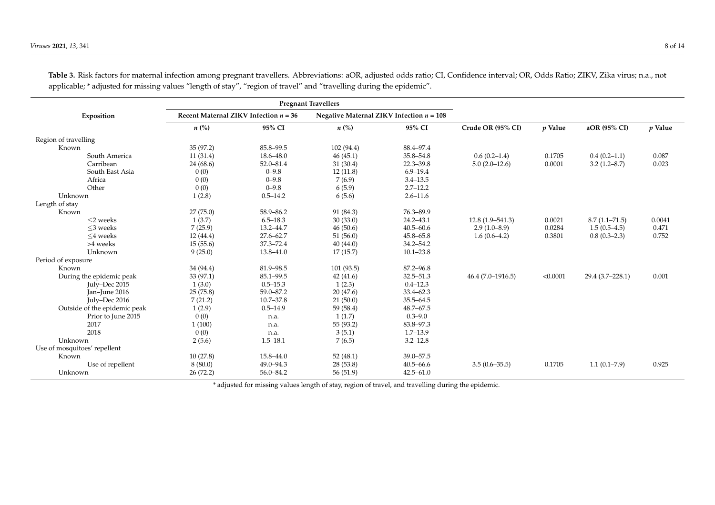<span id="page-7-0"></span>

| <b>Pregnant Travellers</b>   |           |                                         |                                            |               |                     |          |                   |           |
|------------------------------|-----------|-----------------------------------------|--------------------------------------------|---------------|---------------------|----------|-------------------|-----------|
| Exposition                   |           | Recent Maternal ZIKV Infection $n = 36$ | Negative Maternal ZIKV Infection $n = 108$ |               |                     |          |                   |           |
|                              | $n\ (\%)$ | 95% CI                                  | $n\left(\%\right)$                         | 95% CI        | Crude OR (95% CI)   | p Value  | aOR (95% CI)      | $p$ Value |
| Region of travelling         |           |                                         |                                            |               |                     |          |                   |           |
| Known                        | 35(97.2)  | 85.8-99.5                               | 102(94.4)                                  | 88.4-97.4     |                     |          |                   |           |
| South America                | 11(31.4)  | $18.6 - 48.0$                           | 46(45.1)                                   | 35.8-54.8     | $0.6(0.2-1.4)$      | 0.1705   | $0.4(0.2-1.1)$    | 0.087     |
| Carribean                    | 24(68.6)  | 52.0-81.4                               | 31(30.4)                                   | $22.3 - 39.8$ | $5.0(2.0-12.6)$     | 0.0001   | $3.2(1.2 - 8.7)$  | 0.023     |
| South East Asia              | 0(0)      | $0 - 9.8$                               | 12(11.8)                                   | $6.9 - 19.4$  |                     |          |                   |           |
| Africa                       | 0(0)      | $0 - 9.8$                               | 7(6.9)                                     | $3.4 - 13.5$  |                     |          |                   |           |
| Other                        | 0(0)      | $0 - 9.8$                               | 6(5.9)                                     | $2.7 - 12.2$  |                     |          |                   |           |
| Unknown                      | 1(2.8)    | $0.5 - 14.2$                            | 6(5.6)                                     | $2.6 - 11.6$  |                     |          |                   |           |
| Length of stay               |           |                                         |                                            |               |                     |          |                   |           |
| Known                        | 27(75.0)  | 58.9-86.2                               | 91 (84.3)                                  | 76.3-89.9     |                     |          |                   |           |
| $<$ 2 weeks                  | 1(3.7)    | $6.5 - 18.3$                            | 30(33.0)                                   | $24.2 - 43.1$ | $12.8(1.9 - 541.3)$ | 0.0021   | $8.7(1.1 - 71.5)$ | 0.0041    |
| $<$ 3 weeks                  | 7(25.9)   | 13.2-44.7                               | 46(50.6)                                   | $40.5 - 60.6$ | $2.9(1.0-8.9)$      | 0.0284   | $1.5(0.5-4.5)$    | 0.471     |
| $<$ 4 weeks                  | 12(44.4)  | $27.6 - 62.7$                           | 51(56.0)                                   | $45.8 - 65.8$ | $1.6(0.6-4.2)$      | 0.3801   | $0.8(0.3-2.3)$    | 0.752     |
| >4 weeks                     | 15(55.6)  | 37.3-72.4                               | 40(44.0)                                   | $34.2 - 54.2$ |                     |          |                   |           |
| Unknown                      | 9(25.0)   | 13.8-41.0                               | 17(15.7)                                   | $10.1 - 23.8$ |                     |          |                   |           |
| Period of exposure           |           |                                         |                                            |               |                     |          |                   |           |
| Known                        | 34 (94.4) | 81.9-98.5                               | 101(93.5)                                  | 87.2-96.8     |                     |          |                   |           |
| During the epidemic peak     | 33(97.1)  | 85.1-99.5                               | 42(41.6)                                   | $32.5 - 51.3$ | $46.4(7.0-1916.5)$  | < 0.0001 | 29.4 (3.7–228.1)  | 0.001     |
| July-Dec 2015                | 1(3.0)    | $0.5 - 15.3$                            | 1(2.3)                                     | $0.4 - 12.3$  |                     |          |                   |           |
| Jan-June 2016                | 25(75.8)  | 59.0-87.2                               | 20(47.6)                                   | $33.4 - 62.3$ |                     |          |                   |           |
| July-Dec 2016                | 7(21.2)   | $10.7 - 37.8$                           | 21(50.0)                                   | $35.5 - 64.5$ |                     |          |                   |           |
| Outside of the epidemic peak | 1(2.9)    | $0.5 - 14.9$                            | 59 (58.4)                                  | $48.7 - 67.5$ |                     |          |                   |           |
| Prior to June 2015           | 0(0)      | n.a.                                    | 1(1.7)                                     | $0.3 - 9.0$   |                     |          |                   |           |
| 2017                         | 1(100)    | n.a.                                    | 55 (93.2)                                  | 83.8-97.3     |                     |          |                   |           |
| 2018                         | 0(0)      | n.a.                                    | 3(5.1)                                     | $1.7 - 13.9$  |                     |          |                   |           |
| Unknown                      | 2(5.6)    | $1.5 - 18.1$                            | 7(6.5)                                     | $3.2 - 12.8$  |                     |          |                   |           |
| Use of mosquitoes' repellent |           |                                         |                                            |               |                     |          |                   |           |
| Known                        | 10(27.8)  | 15.8-44.0                               | 52(48.1)                                   | 39.0-57.5     |                     |          |                   |           |
| Use of repellent             | 8(80.0)   | $49.0 - 94.3$                           | 28(53.8)                                   | $40.5 - 66.6$ | $3.5(0.6 - 35.5)$   | 0.1705   | $1.1(0.1 - 7.9)$  | 0.925     |
| Unknown                      | 26(72.2)  | 56.0-84.2                               | 56(51.9)                                   | $42.5 - 61.0$ |                     |          |                   |           |

**Table 3.** Risk factors for maternal infection among pregnant travellers. Abbreviations: aOR, adjusted odds ratio; CI, Confidence interval; OR, Odds Ratio; ZIKV, Zika virus; n.a., not applicable; \* adjusted for missing values "length of stay", "region of travel" and "travelling during the epidemic".

\* adjusted for missing values length of stay, region of travel, and travelling during the epidemic.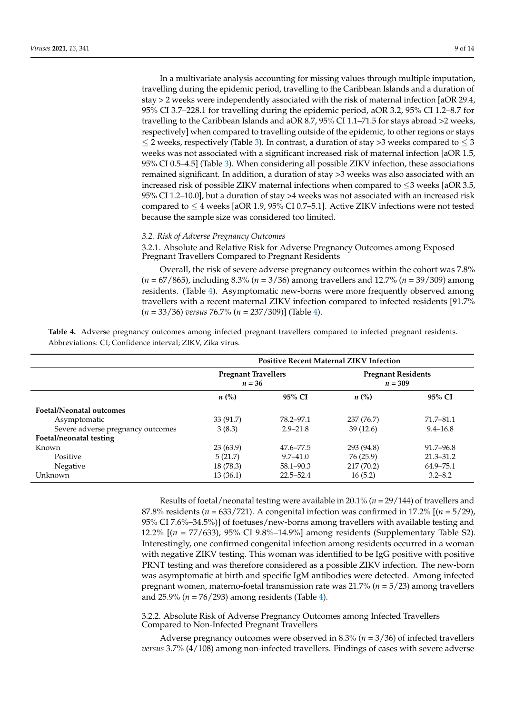In a multivariate analysis accounting for missing values through multiple imputation, travelling during the epidemic period, travelling to the Caribbean Islands and a duration of stay > 2 weeks were independently associated with the risk of maternal infection [aOR 29.4, 95% CI 3.7–228.1 for travelling during the epidemic period, aOR 3.2, 95% CI 1.2–8.7 for travelling to the Caribbean Islands and aOR 8.7, 95% CI 1.1–71.5 for stays abroad >2 weeks, respectively] when compared to travelling outside of the epidemic, to other regions or stays  $\leq$  2 weeks, respectively (Table [3\)](#page-7-0). In contrast, a duration of stay >3 weeks compared to  $\leq$  3 weeks was not associated with a significant increased risk of maternal infection [aOR 1.5, 95% CI 0.5–4.5] (Table [3\)](#page-7-0). When considering all possible ZIKV infection, these associations remained significant. In addition, a duration of stay >3 weeks was also associated with an increased risk of possible ZIKV maternal infections when compared to  $\leq$ 3 weeks [aOR 3.5, 95% CI 1.2–10.0], but a duration of stay >4 weeks was not associated with an increased risk compared to  $\leq$  4 weeks [aOR 1.9, 95% CI 0.7–5.1]. Active ZIKV infections were not tested because the sample size was considered too limited.

## *3.2. Risk of Adverse Pregnancy Outcomes*

3.2.1. Absolute and Relative Risk for Adverse Pregnancy Outcomes among Exposed Pregnant Travellers Compared to Pregnant Residents

Overall, the risk of severe adverse pregnancy outcomes within the cohort was 7.8% (*n* = 67/865), including 8.3% (*n* = 3/36) among travellers and 12.7% (*n* = 39/309) among residents. (Table [4\)](#page-8-0). Asymptomatic new-borns were more frequently observed among travellers with a recent maternal ZIKV infection compared to infected residents [91.7% (*n* = 33/36) *versus* 76.7% (*n* = 237/309)] (Table [4\)](#page-8-0).

<span id="page-8-0"></span>**Table 4.** Adverse pregnancy outcomes among infected pregnant travellers compared to infected pregnant residents. Abbreviations: CI; Confidence interval; ZIKV, Zika virus.

|                                   | <b>Positive Recent Maternal ZIKV Infection</b> |               |                                        |               |  |
|-----------------------------------|------------------------------------------------|---------------|----------------------------------------|---------------|--|
|                                   | <b>Pregnant Travellers</b><br>$n = 36$         |               | <b>Pregnant Residents</b><br>$n = 309$ |               |  |
|                                   | $n\ (\%)$                                      | 95% CI        | $n\ (\%)$                              | 95% CI        |  |
| <b>Foetal/Neonatal outcomes</b>   |                                                |               |                                        |               |  |
| Asymptomatic                      | 33 (91.7)                                      | 78.2–97.1     | 237 (76.7)                             | 71.7–81.1     |  |
| Severe adverse pregnancy outcomes | 3(8.3)                                         | $2.9 - 21.8$  | 39(12.6)                               | $9.4 - 16.8$  |  |
| Foetal/neonatal testing           |                                                |               |                                        |               |  |
| Known                             | 23(63.9)                                       | 47.6–77.5     | 293 (94.8)                             | 91.7–96.8     |  |
| Positive                          | 5(21.7)                                        | $9.7 - 41.0$  | 76 (25.9)                              | $21.3 - 31.2$ |  |
| Negative                          | 18 (78.3)                                      | $58.1 - 90.3$ | 217 (70.2)                             | 64.9–75.1     |  |
| Unknown                           | 13(36.1)                                       | $22.5 - 52.4$ | 16(5.2)                                | $3.2 - 8.2$   |  |

Results of foetal/neonatal testing were available in 20.1% (*n* = 29/144) of travellers and 87.8% residents (*n* = 633/721). A congenital infection was confirmed in 17.2% [(*n* = 5/29), 95% CI 7.6%–34.5%)] of foetuses/new-borns among travellers with available testing and 12.2% [(*n* = 77/633), 95% CI 9.8%–14.9%] among residents (Supplementary Table S2). Interestingly, one confirmed congenital infection among residents occurred in a woman with negative ZIKV testing. This woman was identified to be IgG positive with positive PRNT testing and was therefore considered as a possible ZIKV infection. The new-born was asymptomatic at birth and specific IgM antibodies were detected. Among infected pregnant women, materno-foetal transmission rate was 21.7% (*n* = 5/23) among travellers and 25.9% (*n* = 76/293) among residents (Table [4\)](#page-8-0).

3.2.2. Absolute Risk of Adverse Pregnancy Outcomes among Infected Travellers Compared to Non-Infected Pregnant Travellers

Adverse pregnancy outcomes were observed in 8.3% (*n* = 3/36) of infected travellers *versus* 3.7% (4/108) among non-infected travellers. Findings of cases with severe adverse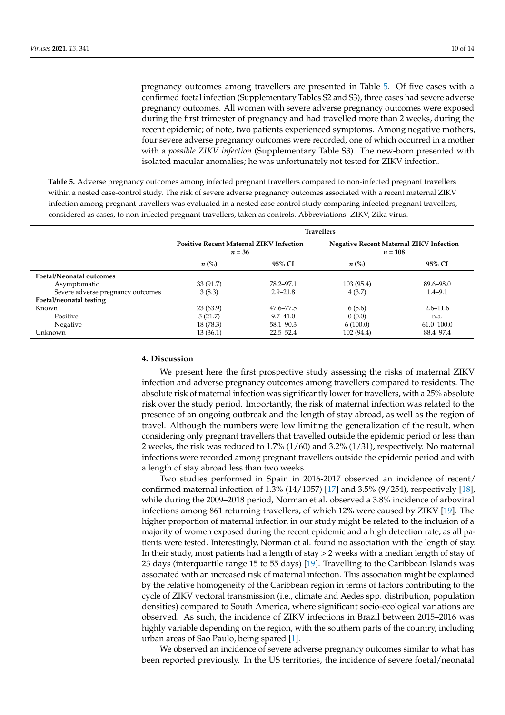pregnancy outcomes among travellers are presented in Table [5.](#page-9-0) Of five cases with a confirmed foetal infection (Supplementary Tables S2 and S3), three cases had severe adverse pregnancy outcomes. All women with severe adverse pregnancy outcomes were exposed during the first trimester of pregnancy and had travelled more than 2 weeks, during the recent epidemic; of note, two patients experienced symptoms. Among negative mothers, four severe adverse pregnancy outcomes were recorded, one of which occurred in a mother with a *possible ZIKV infection* (Supplementary Table S3). The new-born presented with isolated macular anomalies; he was unfortunately not tested for ZIKV infection.

<span id="page-9-0"></span>**Table 5.** Adverse pregnancy outcomes among infected pregnant travellers compared to non-infected pregnant travellers within a nested case-control study. The risk of severe adverse pregnancy outcomes associated with a recent maternal ZIKV infection among pregnant travellers was evaluated in a nested case control study comparing infected pregnant travellers, considered as cases, to non-infected pregnant travellers, taken as controls. Abbreviations: ZIKV, Zika virus.

|                                   | <b>Travellers</b>                                          |               |                                                             |                |  |
|-----------------------------------|------------------------------------------------------------|---------------|-------------------------------------------------------------|----------------|--|
|                                   | <b>Positive Recent Maternal ZIKV Infection</b><br>$n = 36$ |               | <b>Negative Recent Maternal ZIKV Infection</b><br>$n = 108$ |                |  |
|                                   | $n\ (\%)$                                                  | 95% CI        | $n\left(\%\right)$                                          | 95% CI         |  |
| <b>Foetal/Neonatal outcomes</b>   |                                                            |               |                                                             |                |  |
| Asymptomatic                      | 33 (91.7)                                                  | 78.2-97.1     | 103(95.4)                                                   | 89.6–98.0      |  |
| Severe adverse pregnancy outcomes | 3(8.3)                                                     | $2.9 - 21.8$  | 4(3.7)                                                      | $1.4 - 9.1$    |  |
| Foetal/neonatal testing           |                                                            |               |                                                             |                |  |
| Known                             | 23(63.9)                                                   | 47.6–77.5     | 6(5.6)                                                      | $2.6 - 11.6$   |  |
| Positive                          | 5(21.7)                                                    | $9.7 - 41.0$  | 0(0.0)                                                      | n.a.           |  |
| Negative                          | 18 (78.3)                                                  | $58.1 - 90.3$ | 6(100.0)                                                    | $61.0 - 100.0$ |  |
| Unknown                           | 13(36.1)                                                   | 22.5-52.4     | 102 (94.4)                                                  | 88.4–97.4      |  |

## **4. Discussion**

We present here the first prospective study assessing the risks of maternal ZIKV infection and adverse pregnancy outcomes among travellers compared to residents. The absolute risk of maternal infection was significantly lower for travellers, with a 25% absolute risk over the study period. Importantly, the risk of maternal infection was related to the presence of an ongoing outbreak and the length of stay abroad, as well as the region of travel. Although the numbers were low limiting the generalization of the result, when considering only pregnant travellers that travelled outside the epidemic period or less than 2 weeks, the risk was reduced to 1.7% (1/60) and 3.2% (1/31), respectively. No maternal infections were recorded among pregnant travellers outside the epidemic period and with a length of stay abroad less than two weeks.

Two studies performed in Spain in 2016-2017 observed an incidence of recent/ confirmed maternal infection of 1.3% (14/1057) [\[17\]](#page-12-15) and 3.5% (9/254), respectively [\[18\]](#page-12-16), while during the 2009–2018 period, Norman et al. observed a 3.8% incidence of arboviral infections among 861 returning travellers, of which 12% were caused by ZIKV [\[19\]](#page-12-17). The higher proportion of maternal infection in our study might be related to the inclusion of a majority of women exposed during the recent epidemic and a high detection rate, as all patients were tested. Interestingly, Norman et al. found no association with the length of stay. In their study, most patients had a length of stay > 2 weeks with a median length of stay of 23 days (interquartile range 15 to 55 days) [\[19\]](#page-12-17). Travelling to the Caribbean Islands was associated with an increased risk of maternal infection. This association might be explained by the relative homogeneity of the Caribbean region in terms of factors contributing to the cycle of ZIKV vectoral transmission (i.e., climate and Aedes spp. distribution, population densities) compared to South America, where significant socio-ecological variations are observed. As such, the incidence of ZIKV infections in Brazil between 2015–2016 was highly variable depending on the region, with the southern parts of the country, including urban areas of Sao Paulo, being spared [\[1\]](#page-12-0).

We observed an incidence of severe adverse pregnancy outcomes similar to what has been reported previously. In the US territories, the incidence of severe foetal/neonatal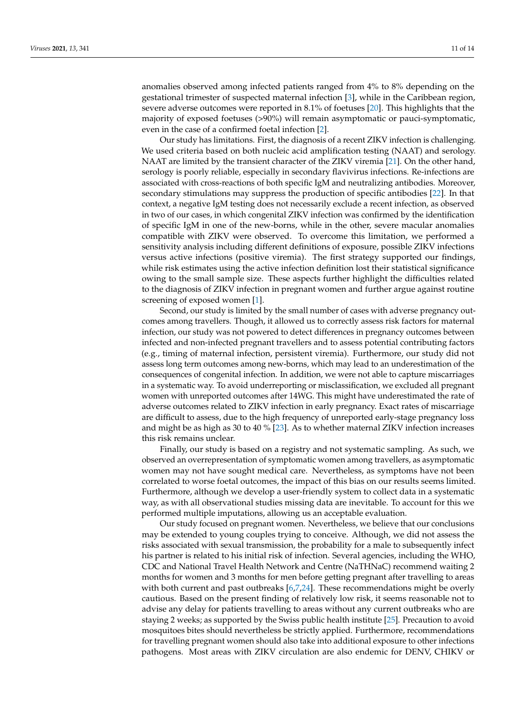anomalies observed among infected patients ranged from 4% to 8% depending on the gestational trimester of suspected maternal infection [\[3\]](#page-12-18), while in the Caribbean region, severe adverse outcomes were reported in 8.1% of foetuses [\[20\]](#page-12-19). This highlights that the majority of exposed foetuses (>90%) will remain asymptomatic or pauci-symptomatic, even in the case of a confirmed foetal infection [\[2\]](#page-12-1).

Our study has limitations. First, the diagnosis of a recent ZIKV infection is challenging. We used criteria based on both nucleic acid amplification testing (NAAT) and serology. NAAT are limited by the transient character of the ZIKV viremia [\[21\]](#page-12-20). On the other hand, serology is poorly reliable, especially in secondary flavivirus infections. Re-infections are associated with cross-reactions of both specific IgM and neutralizing antibodies. Moreover, secondary stimulations may suppress the production of specific antibodies [\[22\]](#page-12-21). In that context, a negative IgM testing does not necessarily exclude a recent infection, as observed in two of our cases, in which congenital ZIKV infection was confirmed by the identification of specific IgM in one of the new-borns, while in the other, severe macular anomalies compatible with ZIKV were observed. To overcome this limitation, we performed a sensitivity analysis including different definitions of exposure, possible ZIKV infections versus active infections (positive viremia). The first strategy supported our findings, while risk estimates using the active infection definition lost their statistical significance owing to the small sample size. These aspects further highlight the difficulties related to the diagnosis of ZIKV infection in pregnant women and further argue against routine screening of exposed women [\[1\]](#page-12-0).

Second, our study is limited by the small number of cases with adverse pregnancy outcomes among travellers. Though, it allowed us to correctly assess risk factors for maternal infection, our study was not powered to detect differences in pregnancy outcomes between infected and non-infected pregnant travellers and to assess potential contributing factors (e.g., timing of maternal infection, persistent viremia). Furthermore, our study did not assess long term outcomes among new-borns, which may lead to an underestimation of the consequences of congenital infection. In addition, we were not able to capture miscarriages in a systematic way. To avoid underreporting or misclassification, we excluded all pregnant women with unreported outcomes after 14WG. This might have underestimated the rate of adverse outcomes related to ZIKV infection in early pregnancy. Exact rates of miscarriage are difficult to assess, due to the high frequency of unreported early-stage pregnancy loss and might be as high as 30 to 40 % [\[23\]](#page-12-22). As to whether maternal ZIKV infection increases this risk remains unclear.

Finally, our study is based on a registry and not systematic sampling. As such, we observed an overrepresentation of symptomatic women among travellers, as asymptomatic women may not have sought medical care. Nevertheless, as symptoms have not been correlated to worse foetal outcomes, the impact of this bias on our results seems limited. Furthermore, although we develop a user-friendly system to collect data in a systematic way, as with all observational studies missing data are inevitable. To account for this we performed multiple imputations, allowing us an acceptable evaluation.

Our study focused on pregnant women. Nevertheless, we believe that our conclusions may be extended to young couples trying to conceive. Although, we did not assess the risks associated with sexual transmission, the probability for a male to subsequently infect his partner is related to his initial risk of infection. Several agencies, including the WHO, CDC and National Travel Health Network and Centre (NaTHNaC) recommend waiting 2 months for women and 3 months for men before getting pregnant after travelling to areas with both current and past outbreaks [\[6](#page-12-4)[,7](#page-12-5)[,24\]](#page-13-0). These recommendations might be overly cautious. Based on the present finding of relatively low risk, it seems reasonable not to advise any delay for patients travelling to areas without any current outbreaks who are staying 2 weeks; as supported by the Swiss public health institute [\[25\]](#page-13-1). Precaution to avoid mosquitoes bites should nevertheless be strictly applied. Furthermore, recommendations for travelling pregnant women should also take into additional exposure to other infections pathogens. Most areas with ZIKV circulation are also endemic for DENV, CHIKV or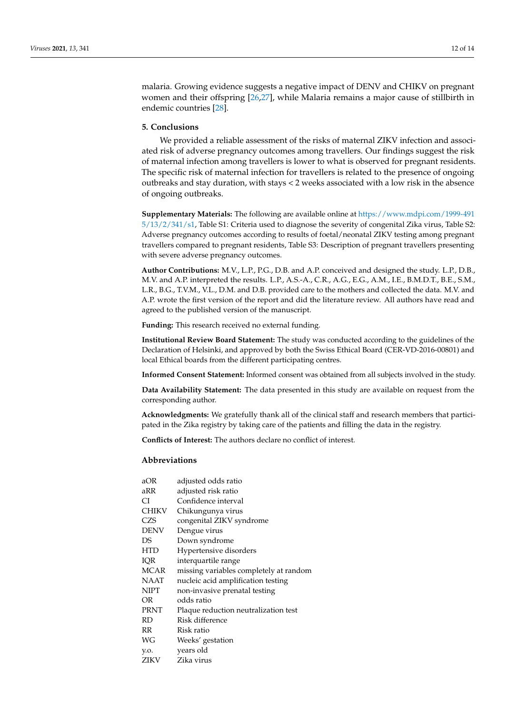malaria. Growing evidence suggests a negative impact of DENV and CHIKV on pregnant women and their offspring [\[26](#page-13-2)[,27\]](#page-13-3), while Malaria remains a major cause of stillbirth in endemic countries [\[28\]](#page-13-4).

# **5. Conclusions**

We provided a reliable assessment of the risks of maternal ZIKV infection and associated risk of adverse pregnancy outcomes among travellers. Our findings suggest the risk of maternal infection among travellers is lower to what is observed for pregnant residents. The specific risk of maternal infection for travellers is related to the presence of ongoing outbreaks and stay duration, with stays < 2 weeks associated with a low risk in the absence of ongoing outbreaks.

**Supplementary Materials:** The following are available online at [https://www.mdpi.com/1999-491](https://www.mdpi.com/1999-4915/13/2/341/s1) [5/13/2/341/s1,](https://www.mdpi.com/1999-4915/13/2/341/s1) Table S1: Criteria used to diagnose the severity of congenital Zika virus, Table S2: Adverse pregnancy outcomes according to results of foetal/neonatal ZIKV testing among pregnant travellers compared to pregnant residents, Table S3: Description of pregnant travellers presenting with severe adverse pregnancy outcomes.

**Author Contributions:** M.V., L.P., P.G., D.B. and A.P. conceived and designed the study. L.P., D.B., M.V. and A.P. interpreted the results. L.P., A.S.-A., C.R., A.G., E.G., A.M., I.E., B.M.D.T., B.E., S.M., L.R., B.G., T.V.M., V.L., D.M. and D.B. provided care to the mothers and collected the data. M.V. and A.P. wrote the first version of the report and did the literature review. All authors have read and agreed to the published version of the manuscript.

**Funding:** This research received no external funding.

**Institutional Review Board Statement:** The study was conducted according to the guidelines of the Declaration of Helsinki, and approved by both the Swiss Ethical Board (CER-VD-2016-00801) and local Ethical boards from the different participating centres.

**Informed Consent Statement:** Informed consent was obtained from all subjects involved in the study.

**Data Availability Statement:** The data presented in this study are available on request from the corresponding author.

**Acknowledgments:** We gratefully thank all of the clinical staff and research members that participated in the Zika registry by taking care of the patients and filling the data in the registry.

**Conflicts of Interest:** The authors declare no conflict of interest.

# **Abbreviations**

| aOR         | adjusted odds ratio                    |
|-------------|----------------------------------------|
| aRR         | adjusted risk ratio                    |
| СI          | Confidence interval                    |
| CHIKV       | Chikungunya virus                      |
| CZS         | congenital ZIKV syndrome               |
| <b>DENV</b> | Dengue virus                           |
| DS          | Down syndrome                          |
| HTD         | Hypertensive disorders                 |
| IOR         | interquartile range                    |
| MCAR        | missing variables completely at random |
| NAAT        | nucleic acid amplification testing     |
| <b>NIPT</b> | non-invasive prenatal testing          |
| OR          | odds ratio                             |
| PRNT        | Plaque reduction neutralization test   |
| RD          | Risk difference                        |
| RR          | Risk ratio                             |
| WG          | Weeks' gestation                       |
| y.o.        | years old                              |
| ZIKV        | Zika virus                             |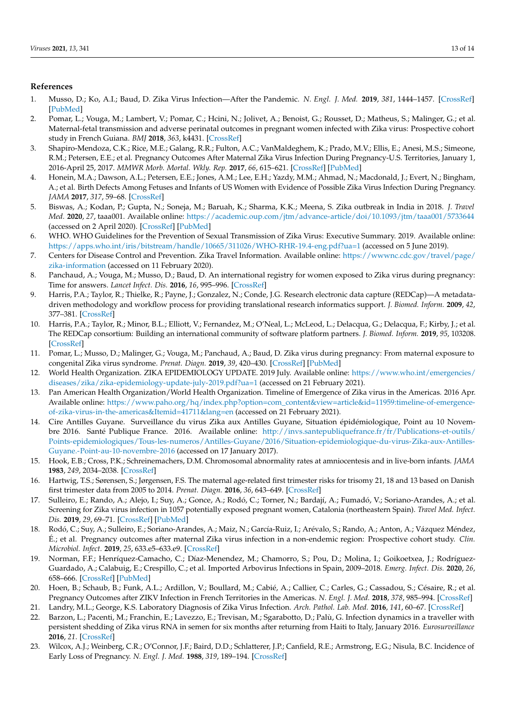## **References**

- <span id="page-12-0"></span>1. Musso, D.; Ko, A.I.; Baud, D. Zika Virus Infection—After the Pandemic. *N. Engl. J. Med.* **2019**, *381*, 1444–1457. [\[CrossRef\]](http://doi.org/10.1056/NEJMra1808246) [\[PubMed\]](http://www.ncbi.nlm.nih.gov/pubmed/31597021)
- <span id="page-12-1"></span>2. Pomar, L.; Vouga, M.; Lambert, V.; Pomar, C.; Hcini, N.; Jolivet, A.; Benoist, G.; Rousset, D.; Matheus, S.; Malinger, G.; et al. Maternal-fetal transmission and adverse perinatal outcomes in pregnant women infected with Zika virus: Prospective cohort study in French Guiana. *BMJ* **2018**, *363*, k4431. [\[CrossRef\]](http://doi.org/10.1136/bmj.k4431)
- <span id="page-12-18"></span>3. Shapiro-Mendoza, C.K.; Rice, M.E.; Galang, R.R.; Fulton, A.C.; VanMaldeghem, K.; Prado, M.V.; Ellis, E.; Anesi, M.S.; Simeone, R.M.; Petersen, E.E.; et al. Pregnancy Outcomes After Maternal Zika Virus Infection During Pregnancy-U.S. Territories, January 1, 2016-April 25, 2017. *MMWR Morb. Mortal. Wkly. Rep.* **2017**, *66*, 615–621. [\[CrossRef\]](http://doi.org/10.15585/mmwr.mm6623e1) [\[PubMed\]](http://www.ncbi.nlm.nih.gov/pubmed/28617773)
- <span id="page-12-2"></span>4. Honein, M.A.; Dawson, A.L.; Petersen, E.E.; Jones, A.M.; Lee, E.H.; Yazdy, M.M.; Ahmad, N.; Macdonald, J.; Evert, N.; Bingham, A.; et al. Birth Defects Among Fetuses and Infants of US Women with Evidence of Possible Zika Virus Infection During Pregnancy. *JAMA* **2017**, *317*, 59–68. [\[CrossRef\]](http://doi.org/10.1001/jama.2016.19006)
- <span id="page-12-3"></span>5. Biswas, A.; Kodan, P.; Gupta, N.; Soneja, M.; Baruah, K.; Sharma, K.K.; Meena, S. Zika outbreak in India in 2018. *J. Travel Med.* **2020**, *27*, taaa001. Available online: <https://academic.oup.com/jtm/advance-article/doi/10.1093/jtm/taaa001/5733644> (accessed on 2 April 2020). [\[CrossRef\]](http://doi.org/10.1093/jtm/taaa001) [\[PubMed\]](http://www.ncbi.nlm.nih.gov/pubmed/32044958)
- <span id="page-12-4"></span>6. WHO. WHO Guidelines for the Prevention of Sexual Transmission of Zika Virus: Executive Summary. 2019. Available online: <https://apps.who.int/iris/bitstream/handle/10665/311026/WHO-RHR-19.4-eng.pdf?ua=1> (accessed on 5 June 2019).
- <span id="page-12-5"></span>7. Centers for Disease Control and Prevention. Zika Travel Information. Available online: [https://wwwnc.cdc.gov/travel/page/](https://wwwnc.cdc.gov/travel/page/zika-information) [zika-information](https://wwwnc.cdc.gov/travel/page/zika-information) (accessed on 11 February 2020).
- <span id="page-12-6"></span>8. Panchaud, A.; Vouga, M.; Musso, D.; Baud, D. An international registry for women exposed to Zika virus during pregnancy: Time for answers. *Lancet Infect. Dis.* **2016**, *16*, 995–996. [\[CrossRef\]](http://doi.org/10.1016/S1473-3099(16)30255-9)
- <span id="page-12-7"></span>9. Harris, P.A.; Taylor, R.; Thielke, R.; Payne, J.; Gonzalez, N.; Conde, J.G. Research electronic data capture (REDCap)—A metadatadriven methodology and workflow process for providing translational research informatics support. *J. Biomed. Inform.* **2009**, *42*, 377–381. [\[CrossRef\]](http://doi.org/10.1016/j.jbi.2008.08.010)
- <span id="page-12-8"></span>10. Harris, P.A.; Taylor, R.; Minor, B.L.; Elliott, V.; Fernandez, M.; O'Neal, L.; McLeod, L.; Delacqua, G.; Delacqua, F.; Kirby, J.; et al. The REDCap consortium: Building an international community of software platform partners. *J. Biomed. Inform.* **2019**, *95*, 103208. [\[CrossRef\]](http://doi.org/10.1016/j.jbi.2019.103208)
- <span id="page-12-9"></span>11. Pomar, L.; Musso, D.; Malinger, G.; Vouga, M.; Panchaud, A.; Baud, D. Zika virus during pregnancy: From maternal exposure to congenital Zika virus syndrome. *Prenat. Diagn.* **2019**, *39*, 420–430. [\[CrossRef\]](http://doi.org/10.1002/pd.5446) [\[PubMed\]](http://www.ncbi.nlm.nih.gov/pubmed/30866073)
- <span id="page-12-10"></span>12. World Health Organization. ZIKA EPIDEMIOLOGY UPDATE. 2019 July. Available online: [https://www.who.int/emergencies/](https://www.who.int/emergencies/diseases/zika/zika-epidemiology-update-july-2019.pdf?ua=1) [diseases/zika/zika-epidemiology-update-july-2019.pdf?ua=1](https://www.who.int/emergencies/diseases/zika/zika-epidemiology-update-july-2019.pdf?ua=1) (accessed on 21 February 2021).
- <span id="page-12-11"></span>13. Pan American Health Organization/World Health Organization. Timeline of Emergence of Zika virus in the Americas. 2016 Apr. Available online: [https://www.paho.org/hq/index.php?option=com\\_content&view=article&id=11959:timeline-of-emergence](https://www.paho.org/hq/index.php?option=com_content&view=article&id=11959:timeline-of-emergence-of-zika-virus-in-the-americas&Itemid=41711&lang=en)[of-zika-virus-in-the-americas&Itemid=41711&lang=en](https://www.paho.org/hq/index.php?option=com_content&view=article&id=11959:timeline-of-emergence-of-zika-virus-in-the-americas&Itemid=41711&lang=en) (accessed on 21 February 2021).
- <span id="page-12-12"></span>14. Cire Antilles Guyane. Surveillance du virus Zika aux Antilles Guyane, Situation épidémiologique, Point au 10 Novembre 2016. Santé Publique France. 2016. Available online: [http://invs.santepubliquefrance.fr/fr/Publications-et-outils/](http://invs.santepubliquefrance.fr/fr/Publications-et-outils/Points-epidemiologiques/Tous-les-numeros/Antilles-Guyane/2016/Situation-epidemiologique-du-virus-Zika-aux-Antilles-Guyane.-Point-au-10-novembre-2016) [Points-epidemiologiques/Tous-les-numeros/Antilles-Guyane/2016/Situation-epidemiologique-du-virus-Zika-aux-Antilles-](http://invs.santepubliquefrance.fr/fr/Publications-et-outils/Points-epidemiologiques/Tous-les-numeros/Antilles-Guyane/2016/Situation-epidemiologique-du-virus-Zika-aux-Antilles-Guyane.-Point-au-10-novembre-2016)[Guyane.-Point-au-10-novembre-2016](http://invs.santepubliquefrance.fr/fr/Publications-et-outils/Points-epidemiologiques/Tous-les-numeros/Antilles-Guyane/2016/Situation-epidemiologique-du-virus-Zika-aux-Antilles-Guyane.-Point-au-10-novembre-2016) (accessed on 17 January 2017).
- <span id="page-12-13"></span>15. Hook, E.B.; Cross, P.K.; Schreinemachers, D.M. Chromosomal abnormality rates at amniocentesis and in live-born infants. *JAMA* **1983**, *249*, 2034–2038. [\[CrossRef\]](http://doi.org/10.1001/jama.1983.03330390038028)
- <span id="page-12-14"></span>16. Hartwig, T.S.; Sørensen, S.; Jørgensen, F.S. The maternal age-related first trimester risks for trisomy 21, 18 and 13 based on Danish first trimester data from 2005 to 2014. *Prenat. Diagn.* **2016**, *36*, 643–649. [\[CrossRef\]](http://doi.org/10.1002/pd.4833)
- <span id="page-12-15"></span>17. Sulleiro, E.; Rando, A.; Alejo, I.; Suy, A.; Gonce, A.; Rodó, C.; Torner, N.; Bardají, A.; Fumadó, V.; Soriano-Arandes, A.; et al. Screening for Zika virus infection in 1057 potentially exposed pregnant women, Catalonia (northeastern Spain). *Travel Med. Infect. Dis.* **2019**, *29*, 69–71. [\[CrossRef\]](http://doi.org/10.1016/j.tmaid.2019.03.006) [\[PubMed\]](http://www.ncbi.nlm.nih.gov/pubmed/30885699)
- <span id="page-12-16"></span>18. Rodó, C.; Suy, A.; Sulleiro, E.; Soriano-Arandes, A.; Maiz, N.; García-Ruiz, I.; Arévalo, S.; Rando, A.; Anton, A.; Vázquez Méndez, É.; et al. Pregnancy outcomes after maternal Zika virus infection in a non-endemic region: Prospective cohort study. *Clin. Microbiol. Infect.* **2019**, *25*, 633.e5–633.e9. [\[CrossRef\]](http://doi.org/10.1016/j.cmi.2019.02.008)
- <span id="page-12-17"></span>19. Norman, F.F.; Henríquez-Camacho, C.; Díaz-Menendez, M.; Chamorro, S.; Pou, D.; Molina, I.; Goikoetxea, J.; Rodríguez-Guardado, A.; Calabuig, E.; Crespillo, C.; et al. Imported Arbovirus Infections in Spain, 2009–2018. *Emerg. Infect. Dis.* **2020**, *26*, 658–666. [\[CrossRef\]](http://doi.org/10.3201/eid2604.190443) [\[PubMed\]](http://www.ncbi.nlm.nih.gov/pubmed/32186486)
- <span id="page-12-19"></span>20. Hoen, B.; Schaub, B.; Funk, A.L.; Ardillon, V.; Boullard, M.; Cabié, A.; Callier, C.; Carles, G.; Cassadou, S.; Césaire, R.; et al. Pregnancy Outcomes after ZIKV Infection in French Territories in the Americas. *N. Engl. J. Med.* **2018**, *378*, 985–994. [\[CrossRef\]](http://doi.org/10.1056/NEJMoa1709481)
- <span id="page-12-20"></span>21. Landry, M.L.; George, K.S. Laboratory Diagnosis of Zika Virus Infection. *Arch. Pathol. Lab. Med.* **2016**, *141*, 60–67. [\[CrossRef\]](http://doi.org/10.5858/arpa.2016-0406-SA)
- <span id="page-12-21"></span>22. Barzon, L.; Pacenti, M.; Franchin, E.; Lavezzo, E.; Trevisan, M.; Sgarabotto, D.; Palù, G. Infection dynamics in a traveller with persistent shedding of Zika virus RNA in semen for six months after returning from Haiti to Italy, January 2016. *Eurosurveillance* **2016**, *21*. [\[CrossRef\]](http://doi.org/10.2807/1560-7917.ES.2016.21.32.30316)
- <span id="page-12-22"></span>23. Wilcox, A.J.; Weinberg, C.R.; O'Connor, J.F.; Baird, D.D.; Schlatterer, J.P.; Canfield, R.E.; Armstrong, E.G.; Nisula, B.C. Incidence of Early Loss of Pregnancy. *N. Engl. J. Med.* **1988**, *319*, 189–194. [\[CrossRef\]](http://doi.org/10.1056/NEJM198807283190401)